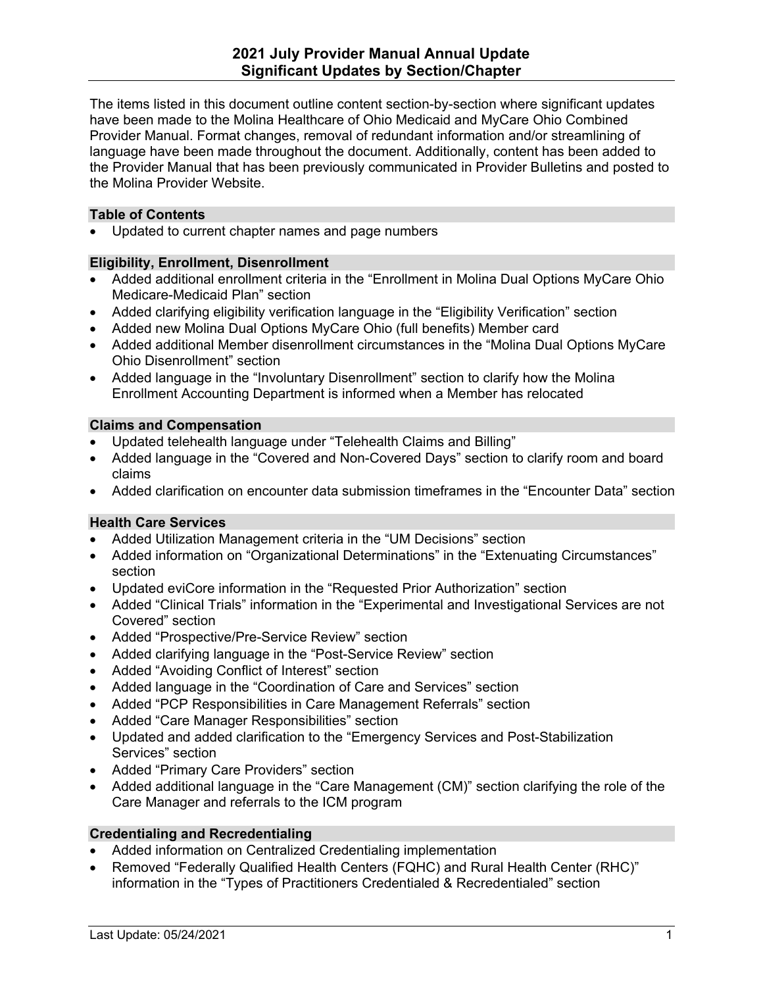The items listed in this document outline content section-by-section where significant updates have been made to the Molina Healthcare of Ohio Medicaid and MyCare Ohio Combined Provider Manual. Format changes, removal of redundant information and/or streamlining of language have been made throughout the document. Additionally, content has been added to the Provider Manual that has been previously communicated in Provider Bulletins and posted to the Molina Provider Website.

## **Table of Contents**

• Updated to current chapter names and page numbers

## **Eligibility, Enrollment, Disenrollment**

- Added additional enrollment criteria in the "Enrollment in Molina Dual Options MyCare Ohio Medicare-Medicaid Plan" section
- Added clarifying eligibility verification language in the "Eligibility Verification" section
- Added new Molina Dual Options MyCare Ohio (full benefits) Member card
- Added additional Member disenrollment circumstances in the "Molina Dual Options MyCare Ohio Disenrollment" section
- Added language in the "Involuntary Disenrollment" section to clarify how the Molina Enrollment Accounting Department is informed when a Member has relocated

## **Claims and Compensation**

- Updated telehealth language under "Telehealth Claims and Billing"
- Added language in the "Covered and Non-Covered Days" section to clarify room and board claims
- Added clarification on encounter data submission timeframes in the "Encounter Data" section

### **Health Care Services**

- Added Utilization Management criteria in the "UM Decisions" section
- Added information on "Organizational Determinations" in the "Extenuating Circumstances" section
- Updated eviCore information in the "Requested Prior Authorization" section
- Added "Clinical Trials" information in the "Experimental and Investigational Services are not Covered" section
- Added "Prospective/Pre-Service Review" section
- Added clarifying language in the "Post-Service Review" section
- Added "Avoiding Conflict of Interest" section
- Added language in the "Coordination of Care and Services" section
- Added "PCP Responsibilities in Care Management Referrals" section
- Added "Care Manager Responsibilities" section
- Updated and added clarification to the "Emergency Services and Post-Stabilization Services" section
- Added "Primary Care Providers" section
- Added additional language in the "Care Management (CM)" section clarifying the role of the Care Manager and referrals to the ICM program

### **Credentialing and Recredentialing**

- Added information on Centralized Credentialing implementation
- Removed "Federally Qualified Health Centers (FQHC) and Rural Health Center (RHC)" information in the "Types of Practitioners Credentialed & Recredentialed" section